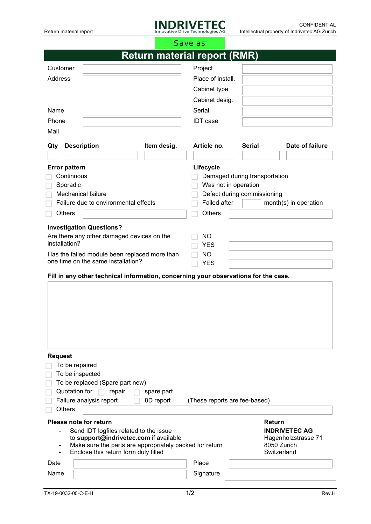

|                                                                   |                                                                                                 |                   | Save as                                                              |               |                            |  |  |
|-------------------------------------------------------------------|-------------------------------------------------------------------------------------------------|-------------------|----------------------------------------------------------------------|---------------|----------------------------|--|--|
|                                                                   |                                                                                                 |                   | <b>Return material report (RMR)</b>                                  |               |                            |  |  |
| Customer                                                          |                                                                                                 |                   | Project                                                              |               |                            |  |  |
| Address                                                           |                                                                                                 | Place of install. |                                                                      |               |                            |  |  |
|                                                                   |                                                                                                 | Cabinet type      |                                                                      |               |                            |  |  |
|                                                                   |                                                                                                 |                   | Cabinet desig.                                                       |               |                            |  |  |
| Name                                                              |                                                                                                 |                   | Serial                                                               |               |                            |  |  |
| Phone                                                             |                                                                                                 | <b>IDT</b> case   |                                                                      |               |                            |  |  |
| Mail                                                              |                                                                                                 |                   |                                                                      |               |                            |  |  |
|                                                                   |                                                                                                 |                   |                                                                      |               |                            |  |  |
| Qty                                                               | <b>Description</b>                                                                              | Item desig.       | Article no.                                                          | <b>Serial</b> | Date of failure            |  |  |
|                                                                   |                                                                                                 |                   |                                                                      |               |                            |  |  |
| <b>Error pattern</b>                                              |                                                                                                 |                   | Lifecycle                                                            |               |                            |  |  |
| Continuous                                                        |                                                                                                 |                   | Damaged during transportation                                        |               |                            |  |  |
| Sporadic                                                          |                                                                                                 |                   | Was not in operation                                                 |               |                            |  |  |
| <b>Mechanical failure</b><br>Failure due to environmental effects |                                                                                                 |                   | Defect during commissioning<br>Failed after<br>month(s) in operation |               |                            |  |  |
|                                                                   |                                                                                                 |                   |                                                                      |               |                            |  |  |
| <b>Others</b>                                                     |                                                                                                 |                   | Others                                                               |               |                            |  |  |
|                                                                   | <b>Investigation Questions?</b>                                                                 |                   |                                                                      |               |                            |  |  |
| installation?                                                     | Are there any other damaged devices on the                                                      |                   | <b>NO</b>                                                            |               |                            |  |  |
|                                                                   |                                                                                                 |                   | <b>YES</b>                                                           |               |                            |  |  |
|                                                                   | Has the failed module been replaced more than<br>one time on the same installation?             |                   | <b>NO</b><br><b>YES</b>                                              |               |                            |  |  |
|                                                                   |                                                                                                 |                   |                                                                      |               |                            |  |  |
|                                                                   | Fill in any other technical information, concerning your observations for the case.             |                   |                                                                      |               |                            |  |  |
|                                                                   |                                                                                                 |                   |                                                                      |               |                            |  |  |
|                                                                   |                                                                                                 |                   |                                                                      |               |                            |  |  |
|                                                                   |                                                                                                 |                   |                                                                      |               |                            |  |  |
|                                                                   |                                                                                                 |                   |                                                                      |               |                            |  |  |
|                                                                   |                                                                                                 |                   |                                                                      |               |                            |  |  |
|                                                                   |                                                                                                 |                   |                                                                      |               |                            |  |  |
|                                                                   |                                                                                                 |                   |                                                                      |               |                            |  |  |
| <b>Request</b>                                                    |                                                                                                 |                   |                                                                      |               |                            |  |  |
|                                                                   | To be repaired                                                                                  |                   |                                                                      |               |                            |  |  |
|                                                                   | To be inspected<br>To be replaced (Spare part new)                                              |                   |                                                                      |               |                            |  |  |
|                                                                   | Quotation for<br>repair<br><b>COLL</b>                                                          | spare part        |                                                                      |               |                            |  |  |
|                                                                   | Failure analysis report                                                                         | 8D report         | (These reports are fee-based)                                        |               |                            |  |  |
| <b>Others</b>                                                     |                                                                                                 |                   |                                                                      |               |                            |  |  |
| Please note for return                                            |                                                                                                 |                   |                                                                      |               | Return                     |  |  |
|                                                                   | Send IDT logfiles related to the issue                                                          |                   |                                                                      |               | <b>INDRIVETEC AG</b>       |  |  |
|                                                                   | to support@indrivetec.com if available                                                          |                   |                                                                      |               | Hagenholzstrasse 71        |  |  |
|                                                                   | Make sure the parts are appropriately packed for return<br>Enclose this return form duly filled |                   |                                                                      |               | 8050 Zurich<br>Switzerland |  |  |
| Date                                                              |                                                                                                 |                   | Place                                                                |               |                            |  |  |
|                                                                   |                                                                                                 |                   |                                                                      |               |                            |  |  |
| Signature<br>Name                                                 |                                                                                                 |                   |                                                                      |               |                            |  |  |